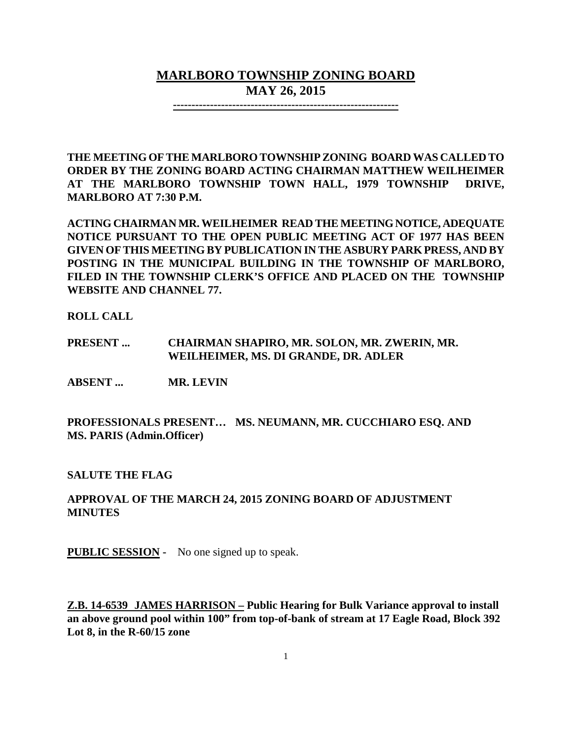# **MARLBORO TOWNSHIP ZONING BOARD MAY 26, 2015**

**-------------------------------------------------------------**

**THE MEETING OF THE MARLBORO TOWNSHIP ZONING BOARD WAS CALLED TO ORDER BY THE ZONING BOARD ACTING CHAIRMAN MATTHEW WEILHEIMER AT THE MARLBORO TOWNSHIP TOWN HALL, 1979 TOWNSHIP DRIVE, MARLBORO AT 7:30 P.M.**

**ACTING CHAIRMAN MR. WEILHEIMER READ THE MEETING NOTICE, ADEQUATE NOTICE PURSUANT TO THE OPEN PUBLIC MEETING ACT OF 1977 HAS BEEN GIVEN OF THIS MEETING BY PUBLICATION IN THE ASBURY PARK PRESS, AND BY POSTING IN THE MUNICIPAL BUILDING IN THE TOWNSHIP OF MARLBORO, FILED IN THE TOWNSHIP CLERK'S OFFICE AND PLACED ON THE TOWNSHIP WEBSITE AND CHANNEL 77.**

**ROLL CALL**

**PRESENT ... CHAIRMAN SHAPIRO, MR. SOLON, MR. ZWERIN, MR. WEILHEIMER, MS. DI GRANDE, DR. ADLER**

**ABSENT ... MR. LEVIN**

**PROFESSIONALS PRESENT… MS. NEUMANN, MR. CUCCHIARO ESQ. AND MS. PARIS (Admin.Officer)**

**SALUTE THE FLAG**

## **APPROVAL OF THE MARCH 24, 2015 ZONING BOARD OF ADJUSTMENT MINUTES**

**PUBLIC SESSION -** No one signed up to speak.

**Z.B. 14-6539 JAMES HARRISON – Public Hearing for Bulk Variance approval to install an above ground pool within 100" from top-of-bank of stream at 17 Eagle Road, Block 392 Lot 8, in the R-60/15 zone**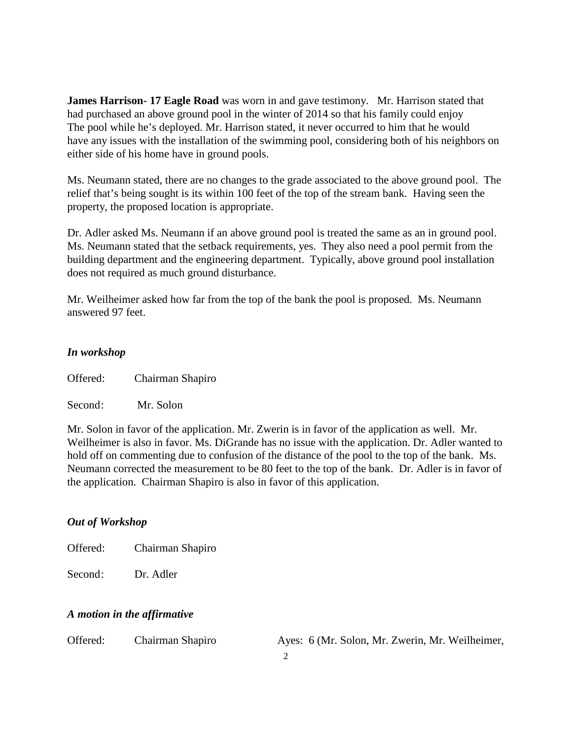**James Harrison- 17 Eagle Road** was worn in and gave testimony. Mr. Harrison stated that had purchased an above ground pool in the winter of 2014 so that his family could enjoy The pool while he's deployed. Mr. Harrison stated, it never occurred to him that he would have any issues with the installation of the swimming pool, considering both of his neighbors on either side of his home have in ground pools.

Ms. Neumann stated, there are no changes to the grade associated to the above ground pool. The relief that's being sought is its within 100 feet of the top of the stream bank. Having seen the property, the proposed location is appropriate.

Dr. Adler asked Ms. Neumann if an above ground pool is treated the same as an in ground pool. Ms. Neumann stated that the setback requirements, yes. They also need a pool permit from the building department and the engineering department. Typically, above ground pool installation does not required as much ground disturbance.

Mr. Weilheimer asked how far from the top of the bank the pool is proposed. Ms. Neumann answered 97 feet.

### *In workshop*

Offered: Chairman Shapiro

Second: Mr. Solon

Mr. Solon in favor of the application. Mr. Zwerin is in favor of the application as well. Mr. Weilheimer is also in favor. Ms. DiGrande has no issue with the application. Dr. Adler wanted to hold off on commenting due to confusion of the distance of the pool to the top of the bank. Ms. Neumann corrected the measurement to be 80 feet to the top of the bank. Dr. Adler is in favor of the application. Chairman Shapiro is also in favor of this application.

### *Out of Workshop*

Offered: Chairman Shapiro

Second: Dr. Adler

### *A motion in the affirmative*

Offered: Chairman Shapiro Ayes: 6 (Mr. Solon, Mr. Zwerin, Mr. Weilheimer,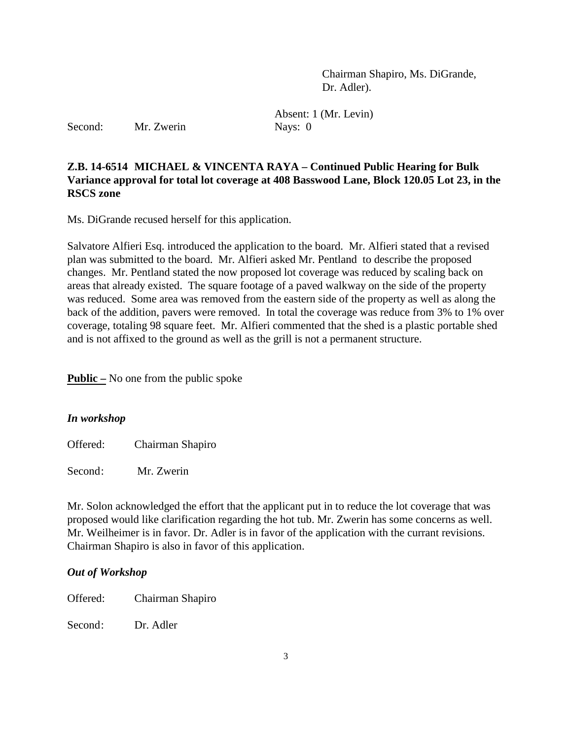Chairman Shapiro, Ms. DiGrande, Dr. Adler).

Second: Mr. Zwerin Nays: 0

Absent: 1 (Mr. Levin)

## **Z.B. 14-6514 MICHAEL & VINCENTA RAYA – Continued Public Hearing for Bulk Variance approval for total lot coverage at 408 Basswood Lane, Block 120.05 Lot 23, in the RSCS zone**

Ms. DiGrande recused herself for this application.

Salvatore Alfieri Esq. introduced the application to the board. Mr. Alfieri stated that a revised plan was submitted to the board. Mr. Alfieri asked Mr. Pentland to describe the proposed changes. Mr. Pentland stated the now proposed lot coverage was reduced by scaling back on areas that already existed. The square footage of a paved walkway on the side of the property was reduced. Some area was removed from the eastern side of the property as well as along the back of the addition, pavers were removed. In total the coverage was reduce from 3% to 1% over coverage, totaling 98 square feet. Mr. Alfieri commented that the shed is a plastic portable shed and is not affixed to the ground as well as the grill is not a permanent structure.

**Public –** No one from the public spoke

### *In workshop*

Offered: Chairman Shapiro

Second: Mr. Zwerin

Mr. Solon acknowledged the effort that the applicant put in to reduce the lot coverage that was proposed would like clarification regarding the hot tub. Mr. Zwerin has some concerns as well. Mr. Weilheimer is in favor. Dr. Adler is in favor of the application with the currant revisions. Chairman Shapiro is also in favor of this application.

### *Out of Workshop*

Offered: Chairman Shapiro

Second: Dr. Adler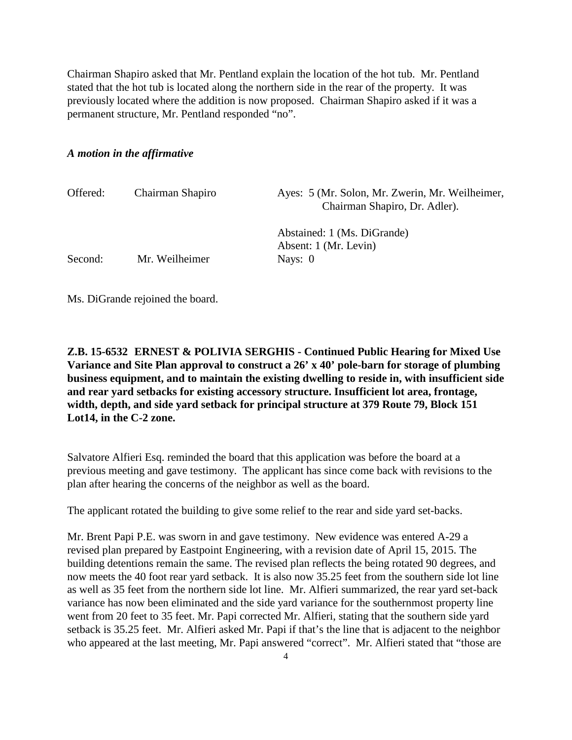Chairman Shapiro asked that Mr. Pentland explain the location of the hot tub. Mr. Pentland stated that the hot tub is located along the northern side in the rear of the property. It was previously located where the addition is now proposed. Chairman Shapiro asked if it was a permanent structure, Mr. Pentland responded "no".

#### *A motion in the affirmative*

| Offered: | Chairman Shapiro | Ayes: 5 (Mr. Solon, Mr. Zwerin, Mr. Weilheimer,<br>Chairman Shapiro, Dr. Adler). |
|----------|------------------|----------------------------------------------------------------------------------|
| Second:  | Mr. Weilheimer   | Abstained: 1 (Ms. DiGrande)<br>Absent: 1 (Mr. Levin)<br>Nays: $0$                |

Ms. DiGrande rejoined the board.

**Z.B. 15-6532 ERNEST & POLIVIA SERGHIS - Continued Public Hearing for Mixed Use Variance and Site Plan approval to construct a 26' x 40' pole-barn for storage of plumbing business equipment, and to maintain the existing dwelling to reside in, with insufficient side and rear yard setbacks for existing accessory structure. Insufficient lot area, frontage, width, depth, and side yard setback for principal structure at 379 Route 79, Block 151 Lot14, in the C-2 zone.**

Salvatore Alfieri Esq. reminded the board that this application was before the board at a previous meeting and gave testimony. The applicant has since come back with revisions to the plan after hearing the concerns of the neighbor as well as the board.

The applicant rotated the building to give some relief to the rear and side yard set-backs.

Mr. Brent Papi P.E. was sworn in and gave testimony. New evidence was entered A-29 a revised plan prepared by Eastpoint Engineering, with a revision date of April 15, 2015. The building detentions remain the same. The revised plan reflects the being rotated 90 degrees, and now meets the 40 foot rear yard setback. It is also now 35.25 feet from the southern side lot line as well as 35 feet from the northern side lot line. Mr. Alfieri summarized, the rear yard set-back variance has now been eliminated and the side yard variance for the southernmost property line went from 20 feet to 35 feet. Mr. Papi corrected Mr. Alfieri, stating that the southern side yard setback is 35.25 feet. Mr. Alfieri asked Mr. Papi if that's the line that is adjacent to the neighbor who appeared at the last meeting, Mr. Papi answered "correct". Mr. Alfieri stated that "those are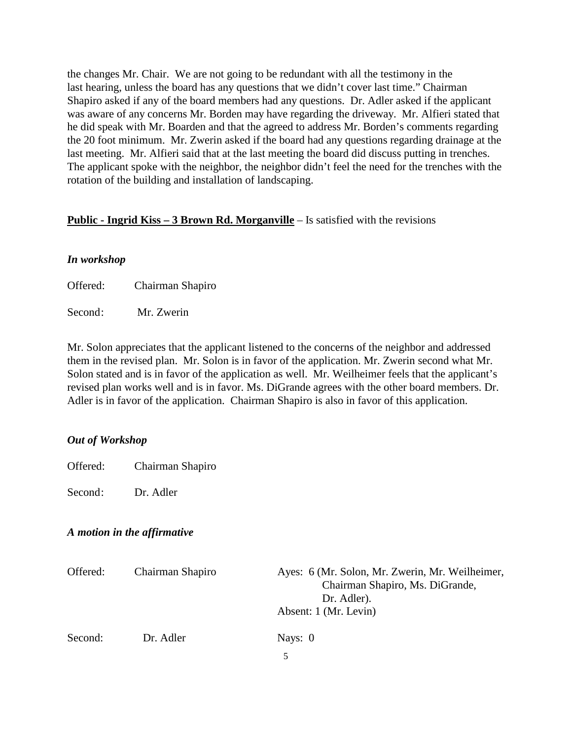the changes Mr. Chair. We are not going to be redundant with all the testimony in the last hearing, unless the board has any questions that we didn't cover last time." Chairman Shapiro asked if any of the board members had any questions. Dr. Adler asked if the applicant was aware of any concerns Mr. Borden may have regarding the driveway. Mr. Alfieri stated that he did speak with Mr. Boarden and that the agreed to address Mr. Borden's comments regarding the 20 foot minimum. Mr. Zwerin asked if the board had any questions regarding drainage at the last meeting. Mr. Alfieri said that at the last meeting the board did discuss putting in trenches. The applicant spoke with the neighbor, the neighbor didn't feel the need for the trenches with the rotation of the building and installation of landscaping.

### **Public - Ingrid Kiss – 3 Brown Rd. Morganville** – Is satisfied with the revisions

### *In workshop*

Offered: Chairman Shapiro

Second: Mr. Zwerin

Mr. Solon appreciates that the applicant listened to the concerns of the neighbor and addressed them in the revised plan. Mr. Solon is in favor of the application. Mr. Zwerin second what Mr. Solon stated and is in favor of the application as well. Mr. Weilheimer feels that the applicant's revised plan works well and is in favor. Ms. DiGrande agrees with the other board members. Dr. Adler is in favor of the application. Chairman Shapiro is also in favor of this application.

### *Out of Workshop*

Offered: Chairman Shapiro

Second: Dr. Adler

## *A motion in the affirmative*

| Offered: | Chairman Shapiro | Ayes: 6 (Mr. Solon, Mr. Zwerin, Mr. Weilheimer,<br>Chairman Shapiro, Ms. DiGrande,<br>Dr. Adler).<br>Absent: 1 (Mr. Levin) |
|----------|------------------|----------------------------------------------------------------------------------------------------------------------------|
| Second:  | Dr. Adler        | Nays: $0$                                                                                                                  |

5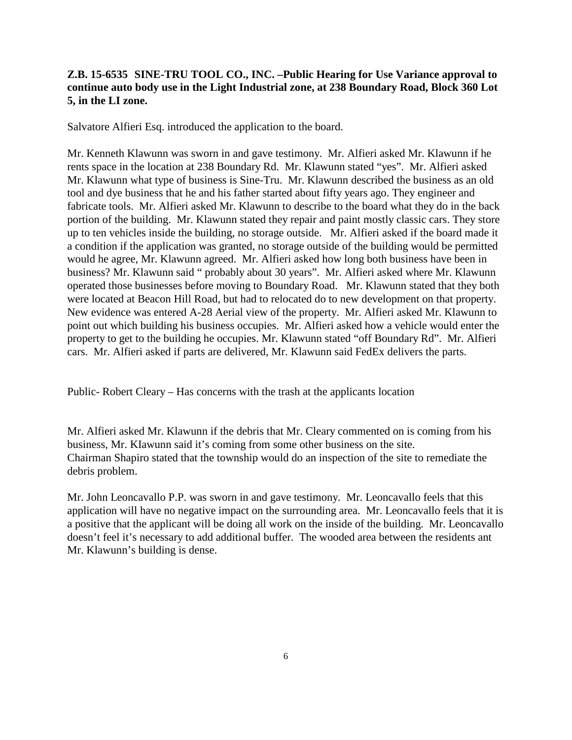## **Z.B. 15-6535 SINE-TRU TOOL CO., INC. –Public Hearing for Use Variance approval to continue auto body use in the Light Industrial zone, at 238 Boundary Road, Block 360 Lot 5, in the LI zone.**

Salvatore Alfieri Esq. introduced the application to the board.

Mr. Kenneth Klawunn was sworn in and gave testimony. Mr. Alfieri asked Mr. Klawunn if he rents space in the location at 238 Boundary Rd. Mr. Klawunn stated "yes". Mr. Alfieri asked Mr. Klawunn what type of business is Sine-Tru. Mr. Klawunn described the business as an old tool and dye business that he and his father started about fifty years ago. They engineer and fabricate tools. Mr. Alfieri asked Mr. Klawunn to describe to the board what they do in the back portion of the building. Mr. Klawunn stated they repair and paint mostly classic cars. They store up to ten vehicles inside the building, no storage outside. Mr. Alfieri asked if the board made it a condition if the application was granted, no storage outside of the building would be permitted would he agree, Mr. Klawunn agreed. Mr. Alfieri asked how long both business have been in business? Mr. Klawunn said " probably about 30 years". Mr. Alfieri asked where Mr. Klawunn operated those businesses before moving to Boundary Road. Mr. Klawunn stated that they both were located at Beacon Hill Road, but had to relocated do to new development on that property. New evidence was entered A-28 Aerial view of the property. Mr. Alfieri asked Mr. Klawunn to point out which building his business occupies. Mr. Alfieri asked how a vehicle would enter the property to get to the building he occupies. Mr. Klawunn stated "off Boundary Rd". Mr. Alfieri cars. Mr. Alfieri asked if parts are delivered, Mr. Klawunn said FedEx delivers the parts.

Public- Robert Cleary – Has concerns with the trash at the applicants location

Mr. Alfieri asked Mr. Klawunn if the debris that Mr. Cleary commented on is coming from his business, Mr. KIawunn said it's coming from some other business on the site. Chairman Shapiro stated that the township would do an inspection of the site to remediate the debris problem.

Mr. John Leoncavallo P.P. was sworn in and gave testimony. Mr. Leoncavallo feels that this application will have no negative impact on the surrounding area. Mr. Leoncavallo feels that it is a positive that the applicant will be doing all work on the inside of the building. Mr. Leoncavallo doesn't feel it's necessary to add additional buffer. The wooded area between the residents ant Mr. Klawunn's building is dense.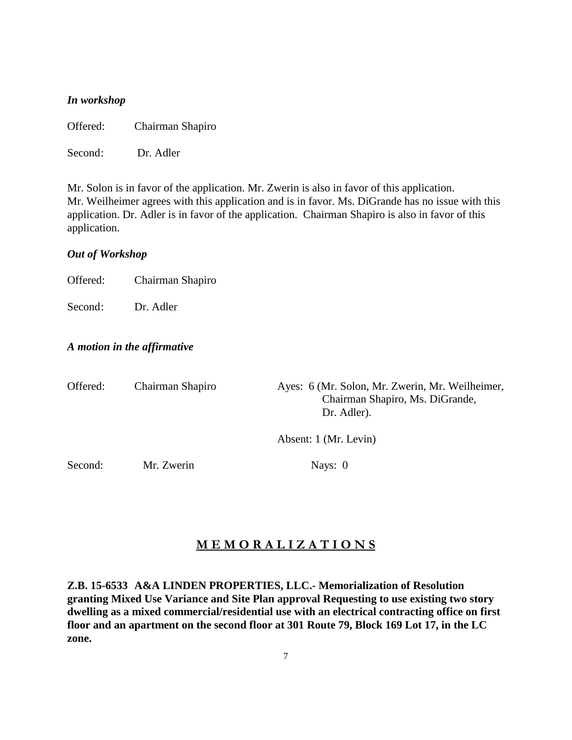#### *In workshop*

Offered: Chairman Shapiro

Second: Dr. Adler

Mr. Solon is in favor of the application. Mr. Zwerin is also in favor of this application. Mr. Weilheimer agrees with this application and is in favor. Ms. DiGrande has no issue with this application. Dr. Adler is in favor of the application. Chairman Shapiro is also in favor of this application.

#### *Out of Workshop*

Offered: Chairman Shapiro

Second: Dr. Adler

#### *A motion in the affirmative*

| Offered: | Chairman Shapiro | Ayes: 6 (Mr. Solon, Mr. Zwerin, Mr. Weilheimer,<br>Chairman Shapiro, Ms. DiGrande,<br>Dr. Adler). |
|----------|------------------|---------------------------------------------------------------------------------------------------|
|          |                  | Absent: 1 (Mr. Levin)                                                                             |
| Second:  | Mr. Zwerin       | Nays: $0$                                                                                         |

# **M E M O R A L I Z A T I O N S**

**Z.B. 15-6533 A&A LINDEN PROPERTIES, LLC.- Memorialization of Resolution granting Mixed Use Variance and Site Plan approval Requesting to use existing two story dwelling as a mixed commercial/residential use with an electrical contracting office on first floor and an apartment on the second floor at 301 Route 79, Block 169 Lot 17, in the LC zone.**